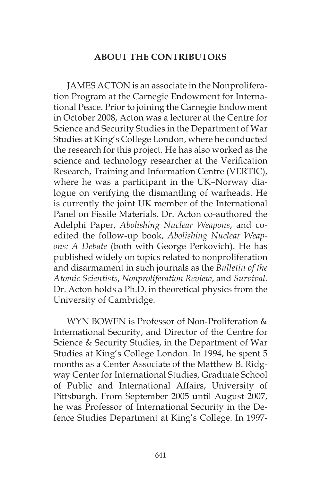## **ABOUT THE CONTRIBUTORS**

JAMES ACTON is an associate in the Nonproliferation Program at the Carnegie Endowment for International Peace. Prior to joining the Carnegie Endowment in October 2008, Acton was a lecturer at the Centre for Science and Security Studies in the Department of War Studies at King's College London, where he conducted the research for this project. He has also worked as the science and technology researcher at the Verification Research, Training and Information Centre (VERTIC), where he was a participant in the UK–Norway dialogue on verifying the dismantling of warheads. He is currently the joint UK member of the International Panel on Fissile Materials. Dr. Acton co-authored the Adelphi Paper, *Abolishing Nuclear Weapons*, and coedited the follow-up book, *Abolishing Nuclear Weapons: A Debate* (both with George Perkovich). He has published widely on topics related to nonproliferation and disarmament in such journals as the *Bulletin of the Atomic Scientists*, *Nonproliferation Review*, and *Survival*. Dr. Acton holds a Ph.D. in theoretical physics from the University of Cambridge.

WYN BOWEN is Professor of Non-Proliferation & International Security, and Director of the Centre for Science & Security Studies, in the Department of War Studies at King's College London. In 1994, he spent 5 months as a Center Associate of the Matthew B. Ridgway Center for International Studies, Graduate School of Public and International Affairs, University of Pittsburgh. From September 2005 until August 2007, he was Professor of International Security in the Defence Studies Department at King's College. In 1997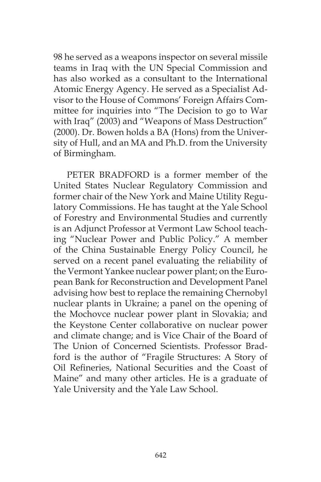98 he served as a weapons inspector on several missile teams in Iraq with the UN Special Commission and has also worked as a consultant to the International Atomic Energy Agency. He served as a Specialist Advisor to the House of Commons' Foreign Affairs Committee for inquiries into "The Decision to go to War with Iraq" (2003) and "Weapons of Mass Destruction" (2000). Dr. Bowen holds a BA (Hons) from the University of Hull, and an MA and Ph.D. from the University of Birmingham.

PETER BRADFORD is a former member of the United States Nuclear Regulatory Commission and former chair of the New York and Maine Utility Regulatory Commissions. He has taught at the Yale School of Forestry and Environmental Studies and currently is an Adjunct Professor at Vermont Law School teaching "Nuclear Power and Public Policy." A member of the China Sustainable Energy Policy Council, he served on a recent panel evaluating the reliability of the Vermont Yankee nuclear power plant; on the European Bank for Reconstruction and Development Panel advising how best to replace the remaining Chernobyl nuclear plants in Ukraine; a panel on the opening of the Mochovce nuclear power plant in Slovakia; and the Keystone Center collaborative on nuclear power and climate change; and is Vice Chair of the Board of The Union of Concerned Scientists. Professor Bradford is the author of "Fragile Structures: A Story of Oil Refineries, National Securities and the Coast of Maine" and many other articles. He is a graduate of Yale University and the Yale Law School.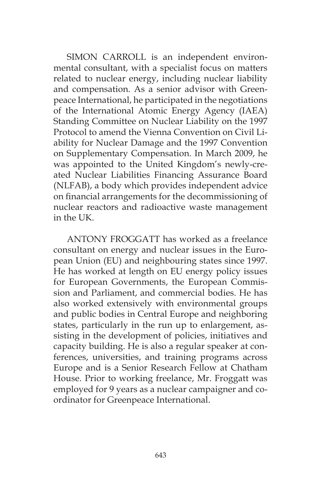SIMON CARROLL is an independent environmental consultant, with a specialist focus on matters related to nuclear energy, including nuclear liability and compensation. As a senior advisor with Greenpeace International, he participated in the negotiations of the International Atomic Energy Agency (IAEA) Standing Committee on Nuclear Liability on the 1997 Protocol to amend the Vienna Convention on Civil Liability for Nuclear Damage and the 1997 Convention on Supplementary Compensation. In March 2009, he was appointed to the United Kingdom's newly-created Nuclear Liabilities Financing Assurance Board (NLFAB), a body which provides independent advice on financial arrangements for the decommissioning of nuclear reactors and radioactive waste management in the UK.

ANTONY FROGGATT has worked as a freelance consultant on energy and nuclear issues in the European Union (EU) and neighbouring states since 1997. He has worked at length on EU energy policy issues for European Governments, the European Commission and Parliament, and commercial bodies. He has also worked extensively with environmental groups and public bodies in Central Europe and neighboring states, particularly in the run up to enlargement, assisting in the development of policies, initiatives and capacity building. He is also a regular speaker at conferences, universities, and training programs across Europe and is a Senior Research Fellow at Chatham House. Prior to working freelance, Mr. Froggatt was employed for 9 years as a nuclear campaigner and coordinator for Greenpeace International.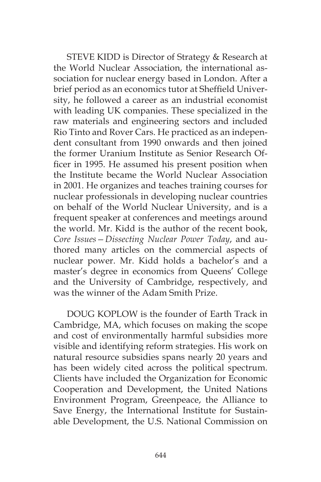STEVE KIDD is Director of Strategy & Research at the World Nuclear Association, the international association for nuclear energy based in London. After a brief period as an economics tutor at Sheffield University, he followed a career as an industrial economist with leading UK companies. These specialized in the raw materials and engineering sectors and included Rio Tinto and Rover Cars. He practiced as an independent consultant from 1990 onwards and then joined the former Uranium Institute as Senior Research Officer in 1995. He assumed his present position when the Institute became the World Nuclear Association in 2001. He organizes and teaches training courses for nuclear professionals in developing nuclear countries on behalf of the World Nuclear University, and is a frequent speaker at conferences and meetings around the world. Mr. Kidd is the author of the recent book, *Core Issues—Dissecting Nuclear Power Today*, and authored many articles on the commercial aspects of nuclear power. Mr. Kidd holds a bachelor's and a master's degree in economics from Queens' College and the University of Cambridge, respectively, and was the winner of the Adam Smith Prize.

DOUG KOPLOW is the founder of Earth Track in Cambridge, MA, which focuses on making the scope and cost of environmentally harmful subsidies more visible and identifying reform strategies. His work on natural resource subsidies spans nearly 20 years and has been widely cited across the political spectrum. Clients have included the Organization for Economic Cooperation and Development, the United Nations Environment Program, Greenpeace, the Alliance to Save Energy, the International Institute for Sustainable Development, the U.S. National Commission on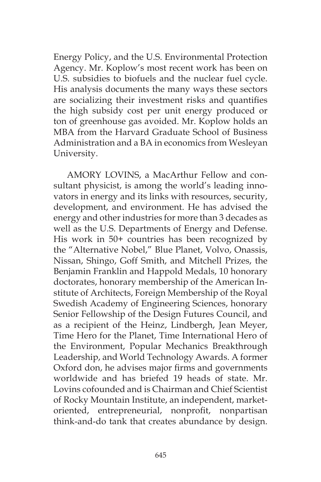Energy Policy, and the U.S. Environmental Protection Agency. Mr. Koplow's most recent work has been on U.S. subsidies to biofuels and the nuclear fuel cycle. His analysis documents the many ways these sectors are socializing their investment risks and quantifies the high subsidy cost per unit energy produced or ton of greenhouse gas avoided. Mr. Koplow holds an MBA from the Harvard Graduate School of Business Administration and a BA in economics from Wesleyan University.

AMORY LOVINS, a MacArthur Fellow and consultant physicist, is among the world's leading innovators in energy and its links with resources, security, development, and environment. He has advised the energy and other industries for more than 3 decades as well as the U.S. Departments of Energy and Defense. His work in 50+ countries has been recognized by the "Alternative Nobel," Blue Planet, Volvo, Onassis, Nissan, Shingo, Goff Smith, and Mitchell Prizes, the Benjamin Franklin and Happold Medals, 10 honorary doctorates, honorary membership of the American Institute of Architects, Foreign Membership of the Royal Swedish Academy of Engineering Sciences, honorary Senior Fellowship of the Design Futures Council, and as a recipient of the Heinz, Lindbergh, Jean Meyer, Time Hero for the Planet, Time International Hero of the Environment, Popular Mechanics Breakthrough Leadership, and World Technology Awards. A former Oxford don, he advises major firms and governments worldwide and has briefed 19 heads of state. Mr. Lovins cofounded and is Chairman and Chief Scientist of Rocky Mountain Institute, an independent, marketoriented, entrepreneurial, nonprofit, nonpartisan think-and-do tank that creates abundance by design.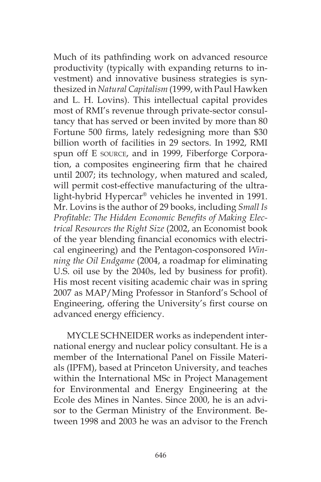Much of its pathfinding work on advanced resource productivity (typically with expanding returns to investment) and innovative business strategies is synthesized in *Natural Capitalism* (1999, with Paul Hawken and L. H. Lovins). This intellectual capital provides most of RMI's revenue through private-sector consultancy that has served or been invited by more than 80 Fortune 500 firms, lately redesigning more than \$30 billion worth of facilities in 29 sectors. In 1992, RMI spun off E source, and in 1999, Fiberforge Corporation, a composites engineering firm that he chaired until 2007; its technology, when matured and scaled, will permit cost-effective manufacturing of the ultralight-hybrid Hypercar® vehicles he invented in 1991. Mr. Lovins is the author of 29 books, including *Small Is Profitable: The Hidden Economic Benefits of Making Electrical Resources the Right Size* (2002, an Economist book of the year blending financial economics with electrical engineering) and the Pentagon-cosponsored *Winning the Oil Endgame* (2004, a roadmap for eliminating U.S. oil use by the 2040s, led by business for profit). His most recent visiting academic chair was in spring 2007 as MAP/Ming Professor in Stanford's School of Engineering, offering the University's first course on advanced energy efficiency.

MYCLE SCHNEIDER works as independent international energy and nuclear policy consultant. He is a member of the International Panel on Fissile Materials (IPFM), based at Princeton University, and teaches within the International MSc in Project Management for Environmental and Energy Engineering at the Ecole des Mines in Nantes. Since 2000, he is an advisor to the German Ministry of the Environment. Between 1998 and 2003 he was an advisor to the French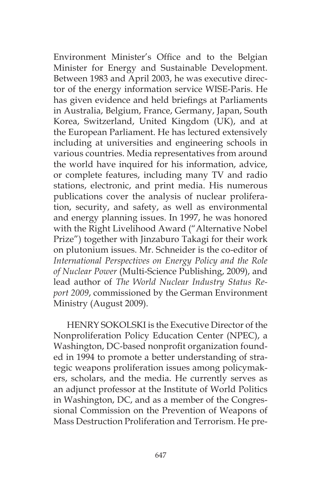Environment Minister's Office and to the Belgian Minister for Energy and Sustainable Development. Between 1983 and April 2003, he was executive director of the energy information service WISE-Paris. He has given evidence and held briefings at Parliaments in Australia, Belgium, France, Germany, Japan, South Korea, Switzerland, United Kingdom (UK), and at the European Parliament. He has lectured extensively including at universities and engineering schools in various countries. Media representatives from around the world have inquired for his information, advice, or complete features, including many TV and radio stations, electronic, and print media. His numerous publications cover the analysis of nuclear proliferation, security, and safety, as well as environmental and energy planning issues. In 1997, he was honored with the Right Livelihood Award ("Alternative Nobel Prize") together with Jinzaburo Takagi for their work on plutonium issues. Mr. Schneider is the co-editor of *International Perspectives on Energy Policy and the Role of Nuclear Power* (Multi-Science Publishing, 2009), and lead author of *The World Nuclear Industry Status Report 2009*, commissioned by the German Environment Ministry (August 2009).

HENRY SOKOLSKI is the Executive Director of the Nonproliferation Policy Education Center (NPEC), a Washington, DC-based nonprofit organization founded in 1994 to promote a better understanding of strategic weapons proliferation issues among policymakers, scholars, and the media. He currently serves as an adjunct professor at the Institute of World Politics in Washington, DC, and as a member of the Congressional Commission on the Prevention of Weapons of Mass Destruction Proliferation and Terrorism. He pre-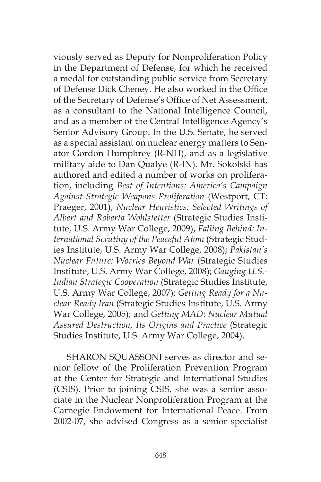viously served as Deputy for Nonproliferation Policy in the Department of Defense, for which he received a medal for outstanding public service from Secretary of Defense Dick Cheney. He also worked in the Office of the Secretary of Defense's Office of Net Assessment, as a consultant to the National Intelligence Council, and as a member of the Central Intelligence Agency's Senior Advisory Group. In the U.S. Senate, he served as a special assistant on nuclear energy matters to Senator Gordon Humphrey (R-NH), and as a legislative military aide to Dan Qualye (R-IN). Mr. Sokolski has authored and edited a number of works on proliferation, including *Best of Intentions: America's Campaign Against Strategic Weapons Proliferation* (Westport, CT: Praeger, 2001), *Nuclear Heuristics: Selected Writings of Albert and Roberta Wohlstetter* (Strategic Studies Institute, U.S. Army War College, 2009), *Falling Behind: International Scrutiny of the Peaceful Atom* (Strategic Studies Institute, U.S. Army War College, 2008); *Pakistan's Nuclear Future: Worries Beyond War* (Strategic Studies Institute, U.S. Army War College, 2008); *Gauging U.S.- Indian Strategic Cooperation* (Strategic Studies Institute, U.S. Army War College, 2007); *Getting Ready for a Nuclear-Ready Iran* (Strategic Studies Institute, U.S. Army War College, 2005); and *Getting MAD: Nuclear Mutual Assured Destruction, Its Origins and Practice* (Strategic Studies Institute, U.S. Army War College, 2004).

SHARON SQUASSONI serves as director and senior fellow of the Proliferation Prevention Program at the Center for Strategic and International Studies (CSIS). Prior to joining CSIS, she was a senior associate in the Nuclear Nonproliferation Program at the Carnegie Endowment for International Peace. From 2002-07, she advised Congress as a senior specialist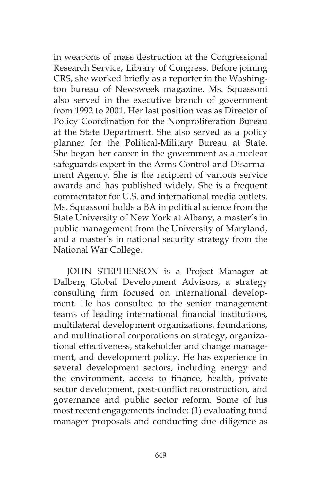in weapons of mass destruction at the Congressional Research Service, Library of Congress. Before joining CRS, she worked briefly as a reporter in the Washington bureau of Newsweek magazine. Ms. Squassoni also served in the executive branch of government from 1992 to 2001. Her last position was as Director of Policy Coordination for the Nonproliferation Bureau at the State Department. She also served as a policy planner for the Political-Military Bureau at State. She began her career in the government as a nuclear safeguards expert in the Arms Control and Disarmament Agency. She is the recipient of various service awards and has published widely. She is a frequent commentator for U.S. and international media outlets. Ms. Squassoni holds a BA in political science from the State University of New York at Albany, a master's in public management from the University of Maryland, and a master's in national security strategy from the National War College.

JOHN STEPHENSON is a Project Manager at Dalberg Global Development Advisors, a strategy consulting firm focused on international development. He has consulted to the senior management teams of leading international financial institutions, multilateral development organizations, foundations, and multinational corporations on strategy, organizational effectiveness, stakeholder and change management, and development policy. He has experience in several development sectors, including energy and the environment, access to finance, health, private sector development, post-conflict reconstruction, and governance and public sector reform. Some of his most recent engagements include: (1) evaluating fund manager proposals and conducting due diligence as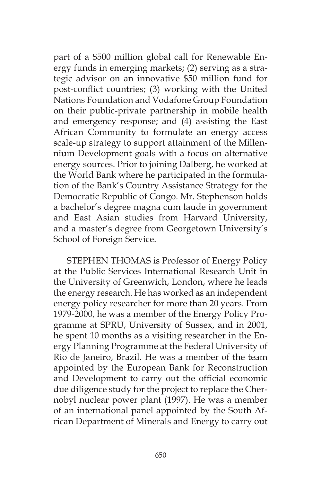part of a \$500 million global call for Renewable Energy funds in emerging markets; (2) serving as a strategic advisor on an innovative \$50 million fund for post-conflict countries; (3) working with the United Nations Foundation and Vodafone Group Foundation on their public-private partnership in mobile health and emergency response; and (4) assisting the East African Community to formulate an energy access scale-up strategy to support attainment of the Millennium Development goals with a focus on alternative energy sources. Prior to joining Dalberg, he worked at the World Bank where he participated in the formulation of the Bank's Country Assistance Strategy for the Democratic Republic of Congo. Mr. Stephenson holds a bachelor's degree magna cum laude in government and East Asian studies from Harvard University, and a master's degree from Georgetown University's School of Foreign Service.

STEPHEN THOMAS is Professor of Energy Policy at the Public Services International Research Unit in the University of Greenwich, London, where he leads the energy research. He has worked as an independent energy policy researcher for more than 20 years. From 1979-2000, he was a member of the Energy Policy Programme at SPRU, University of Sussex, and in 2001, he spent 10 months as a visiting researcher in the Energy Planning Programme at the Federal University of Rio de Janeiro, Brazil. He was a member of the team appointed by the European Bank for Reconstruction and Development to carry out the official economic due diligence study for the project to replace the Chernobyl nuclear power plant (1997). He was a member of an international panel appointed by the South African Department of Minerals and Energy to carry out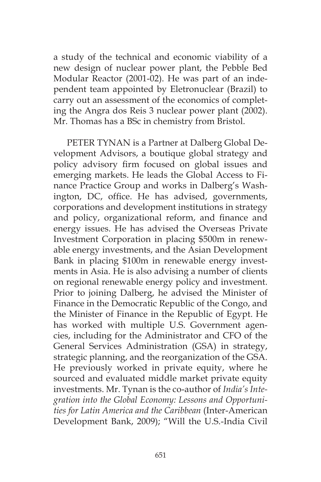a study of the technical and economic viability of a new design of nuclear power plant, the Pebble Bed Modular Reactor (2001-02). He was part of an independent team appointed by Eletronuclear (Brazil) to carry out an assessment of the economics of completing the Angra dos Reis 3 nuclear power plant (2002). Mr. Thomas has a BSc in chemistry from Bristol.

PETER TYNAN is a Partner at Dalberg Global Development Advisors, a boutique global strategy and policy advisory firm focused on global issues and emerging markets. He leads the Global Access to Finance Practice Group and works in Dalberg's Washington, DC, office. He has advised, governments, corporations and development institutions in strategy and policy, organizational reform, and finance and energy issues. He has advised the Overseas Private Investment Corporation in placing \$500m in renewable energy investments, and the Asian Development Bank in placing \$100m in renewable energy investments in Asia. He is also advising a number of clients on regional renewable energy policy and investment. Prior to joining Dalberg, he advised the Minister of Finance in the Democratic Republic of the Congo, and the Minister of Finance in the Republic of Egypt. He has worked with multiple U.S. Government agencies, including for the Administrator and CFO of the General Services Administration (GSA) in strategy, strategic planning, and the reorganization of the GSA. He previously worked in private equity, where he sourced and evaluated middle market private equity investments. Mr. Tynan is the co-author of *India's Integration into the Global Economy: Lessons and Opportunities for Latin America and the Caribbean* (Inter-American Development Bank, 2009); "Will the U.S.-India Civil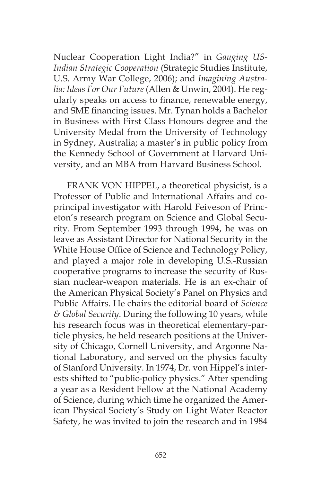Nuclear Cooperation Light India?" in *Gauging US-Indian Strategic Cooperation* (Strategic Studies Institute, U.S. Army War College, 2006); and *Imagining Australia: Ideas For Our Future* (Allen & Unwin, 2004). He regularly speaks on access to finance, renewable energy, and SME financing issues. Mr. Tynan holds a Bachelor in Business with First Class Honours degree and the University Medal from the University of Technology in Sydney, Australia; a master's in public policy from the Kennedy School of Government at Harvard University, and an MBA from Harvard Business School.

FRANK VON HIPPEL, a theoretical physicist, is a Professor of Public and International Affairs and coprincipal investigator with Harold Feiveson of Princeton's research program on Science and Global Security. From September 1993 through 1994, he was on leave as Assistant Director for National Security in the White House Office of Science and Technology Policy, and played a major role in developing U.S.-Russian cooperative programs to increase the security of Russian nuclear-weapon materials. He is an ex-chair of the American Physical Society's Panel on Physics and Public Affairs. He chairs the editorial board of *Science & Global Security*. During the following 10 years, while his research focus was in theoretical elementary-particle physics, he held research positions at the University of Chicago, Cornell University, and Argonne National Laboratory, and served on the physics faculty of Stanford University. In 1974, Dr. von Hippel's interests shifted to "public-policy physics." After spending a year as a Resident Fellow at the National Academy of Science, during which time he organized the American Physical Society's Study on Light Water Reactor Safety, he was invited to join the research and in 1984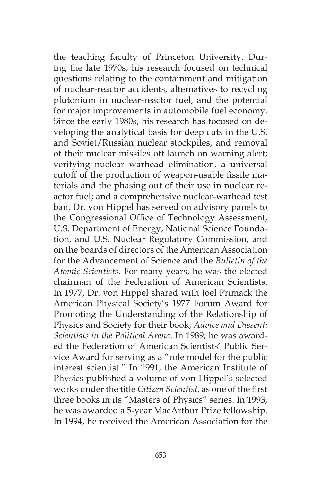the teaching faculty of Princeton University. During the late 1970s, his research focused on technical questions relating to the containment and mitigation of nuclear-reactor accidents, alternatives to recycling plutonium in nuclear-reactor fuel, and the potential for major improvements in automobile fuel economy. Since the early 1980s, his research has focused on developing the analytical basis for deep cuts in the U.S. and Soviet/Russian nuclear stockpiles, and removal of their nuclear missiles off launch on warning alert; verifying nuclear warhead elimination, a universal cutoff of the production of weapon-usable fissile materials and the phasing out of their use in nuclear reactor fuel; and a comprehensive nuclear-warhead test ban. Dr. von Hippel has served on advisory panels to the Congressional Office of Technology Assessment, U.S. Department of Energy, National Science Foundation, and U.S. Nuclear Regulatory Commission, and on the boards of directors of the American Association for the Advancement of Science and the *Bulletin of the Atomic Scientists*. For many years, he was the elected chairman of the Federation of American Scientists. In 1977, Dr. von Hippel shared with Joel Primack the American Physical Society's 1977 Forum Award for Promoting the Understanding of the Relationship of Physics and Society for their book, *Advice and Dissent: Scientists in the Political Arena*. In 1989, he was awarded the Federation of American Scientists' Public Service Award for serving as a "role model for the public interest scientist." In 1991, the American Institute of Physics published a volume of von Hippel's selected works under the title *Citizen Scientist*, as one of the first three books in its "Masters of Physics" series. In 1993, he was awarded a 5-year MacArthur Prize fellowship. In 1994, he received the American Association for the